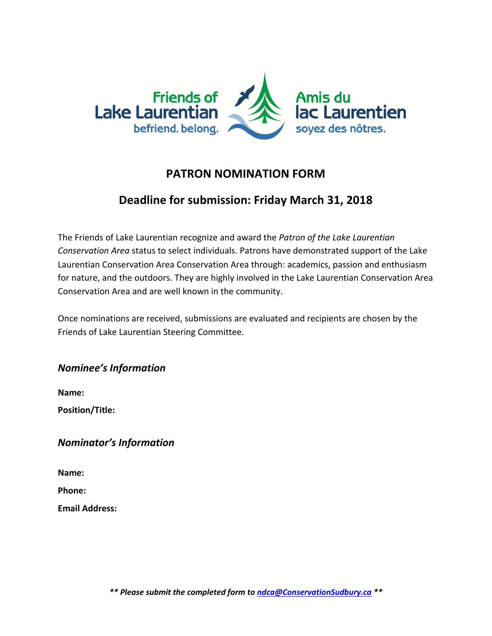

## **PATRON NOMINATION FORM**

## **Deadline for submission: Friday March 31, 2018**

The Friends of Lake Laurentian recognize and award the *Patron of the Lake Laurentian Conservation Area* status to select individuals. Patrons have demonstrated support of the Lake Laurentian Conservation Area Conservation Area through: academics, passion and enthusiasm for nature, and the outdoors. They are highly involved in the Lake Laurentian Conservation Area Conservation Area and are well known in the community.

Once nominations are received, submissions are evaluated and recipients are chosen by the Friends of Lake Laurentian Steering Committee.

*Nominee's Information* 

**Name: Position/Title:**

*Nominator's Information* 

**Name:**

**Phone:** 

**Email Address:**

*\*\* Please submit the completed form to ndca@ConservationSudbury.ca \*\**